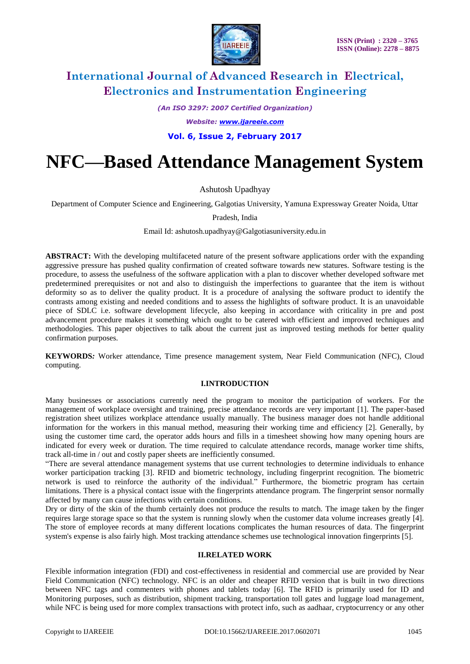

*(An ISO 3297: 2007 Certified Organization)*

*Website: [www.ijareeie.com](http://www.ijareeie.com/)*

**Vol. 6, Issue 2, February 2017**

# **NFC—Based Attendance Management System**

Ashutosh Upadhyay

Department of Computer Science and Engineering, Galgotias University, Yamuna Expressway Greater Noida, Uttar

Pradesh, India

Email Id: ashutosh.upadhyay@Galgotiasuniversity.edu.in

**ABSTRACT:** With the developing multifaceted nature of the present software applications order with the expanding aggressive pressure has pushed quality confirmation of created software towards new statures. Software testing is the procedure, to assess the usefulness of the software application with a plan to discover whether developed software met predetermined prerequisites or not and also to distinguish the imperfections to guarantee that the item is without deformity so as to deliver the quality product. It is a procedure of analysing the software product to identify the contrasts among existing and needed conditions and to assess the highlights of software product. It is an unavoidable piece of SDLC i.e. software development lifecycle, also keeping in accordance with criticality in pre and post advancement procedure makes it something which ought to be catered with efficient and improved techniques and methodologies. This paper objectives to talk about the current just as improved testing methods for better quality confirmation purposes.

**KEYWORDS***:* Worker attendance, Time presence management system, Near Field Communication (NFC), Cloud computing.

#### **I.INTRODUCTION**

Many businesses or associations currently need the program to monitor the participation of workers. For the management of workplace oversight and training, precise attendance records are very important [1]. The paper-based registration sheet utilizes workplace attendance usually manually. The business manager does not handle additional information for the workers in this manual method, measuring their working time and efficiency [2]. Generally, by using the customer time card, the operator adds hours and fills in a timesheet showing how many opening hours are indicated for every week or duration. The time required to calculate attendance records, manage worker time shifts, track all-time in / out and costly paper sheets are inefficiently consumed.

"There are several attendance management systems that use current technologies to determine individuals to enhance worker participation tracking [3]. RFID and biometric technology, including fingerprint recognition. The biometric network is used to reinforce the authority of the individual." Furthermore, the biometric program has certain limitations. There is a physical contact issue with the fingerprints attendance program. The fingerprint sensor normally affected by many can cause infections with certain conditions.

Dry or dirty of the skin of the thumb certainly does not produce the results to match. The image taken by the finger requires large storage space so that the system is running slowly when the customer data volume increases greatly [4]. The store of employee records at many different locations complicates the human resources of data. The fingerprint system's expense is also fairly high. Most tracking attendance schemes use technological innovation fingerprints [5].

#### **II.RELATED WORK**

Flexible information integration (FDI) and cost-effectiveness in residential and commercial use are provided by Near Field Communication (NFC) technology. NFC is an older and cheaper RFID version that is built in two directions between NFC tags and commenters with phones and tablets today [6]. The RFID is primarily used for ID and Monitoring purposes, such as distribution, shipment tracking, transportation toll gates and luggage load management, while NFC is being used for more complex transactions with protect info, such as aadhaar, cryptocurrency or any other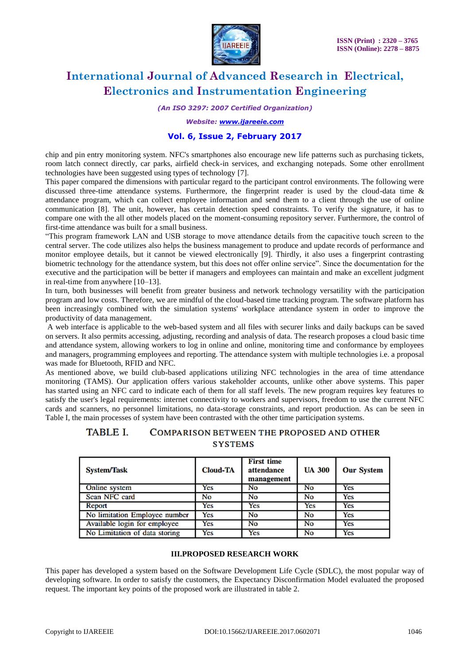

*(An ISO 3297: 2007 Certified Organization)*

*Website: [www.ijareeie.com](http://www.ijareeie.com/)*

#### **Vol. 6, Issue 2, February 2017**

chip and pin entry monitoring system. NFC's smartphones also encourage new life patterns such as purchasing tickets, room latch connect directly, car parks, airfield check-in services, and exchanging notepads. Some other enrollment technologies have been suggested using types of technology [7].

This paper compared the dimensions with particular regard to the participant control environments. The following were discussed three-time attendance systems. Furthermore, the fingerprint reader is used by the cloud-data time & attendance program, which can collect employee information and send them to a client through the use of online communication [8]. The unit, however, has certain detection speed constraints. To verify the signature, it has to compare one with the all other models placed on the moment-consuming repository server. Furthermore, the control of first-time attendance was built for a small business.

"This program framework LAN and USB storage to move attendance details from the capacitive touch screen to the central server. The code utilizes also helps the business management to produce and update records of performance and monitor employee details, but it cannot be viewed electronically [9]. Thirdly, it also uses a fingerprint contrasting biometric technology for the attendance system, but this does not offer online service". Since the documentation for the executive and the participation will be better if managers and employees can maintain and make an excellent judgment in real-time from anywhere [10–13].

In turn, both businesses will benefit from greater business and network technology versatility with the participation program and low costs. Therefore, we are mindful of the cloud-based time tracking program. The software platform has been increasingly combined with the simulation systems' workplace attendance system in order to improve the productivity of data management.

A web interface is applicable to the web-based system and all files with securer links and daily backups can be saved on servers. It also permits accessing, adjusting, recording and analysis of data. The research proposes a cloud basic time and attendance system, allowing workers to log in online and online, monitoring time and conformance by employees and managers, programming employees and reporting. The attendance system with multiple technologies i.e. a proposal was made for Bluetooth, RFID and NFC.

As mentioned above, we build club-based applications utilizing NFC technologies in the area of time attendance monitoring (TAMS). Our application offers various stakeholder accounts, unlike other above systems. This paper has started using an NFC card to indicate each of them for all staff levels. The new program requires key features to satisfy the user's legal requirements: internet connectivity to workers and supervisors, freedom to use the current NFC cards and scanners, no personnel limitations, no data-storage constraints, and report production. As can be seen in Table I, the main processes of system have been contrasted with the other time participation systems.

#### **TABLE L** COMPARISON BETWEEN THE PROPOSED AND OTHER **SYSTEMS**

| System/Task                   | <b>Cloud-TA</b> | <b>First time</b><br>attendance<br>management | <b>UA 300</b> | <b>Our System</b> |
|-------------------------------|-----------------|-----------------------------------------------|---------------|-------------------|
| Online system                 | Yes             | No                                            | No            | Yes               |
| Scan NFC card                 | No              | No                                            | No            | Yes               |
| Report                        | Yes             | Yes                                           | Yes           | Yes               |
| No limitation Employee number | Yes             | No                                            | No            | Yes               |
| Available login for employee  | Yes             | No                                            | No            | Yes               |
| No Limitation of data storing | Yes             | Yes                                           | No            | Yes               |

#### **III.PROPOSED RESEARCH WORK**

This paper has developed a system based on the Software Development Life Cycle (SDLC), the most popular way of developing software. In order to satisfy the customers, the Expectancy Disconfirmation Model evaluated the proposed request. The important key points of the proposed work are illustrated in table 2.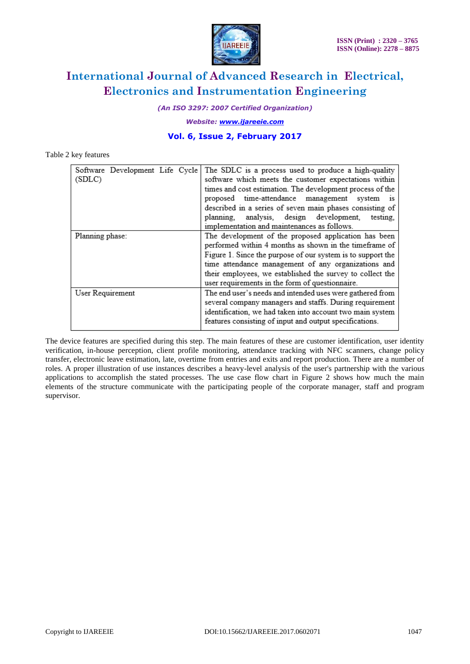

*(An ISO 3297: 2007 Certified Organization)*

*Website: [www.ijareeie.com](http://www.ijareeie.com/)*

### **Vol. 6, Issue 2, February 2017**

#### Table 2 key features

| Software Development Life Cycle<br>(SDLC) | The SDLC is a process used to produce a high-quality<br>software which meets the customer expectations within<br>times and cost estimation. The development process of the<br>proposed time-attendance management system<br><b>1S</b><br>described in a series of seven main phases consisting of<br>analysis, design development,<br>testing,<br>planning.<br>implementation and maintenances as follows. |
|-------------------------------------------|------------------------------------------------------------------------------------------------------------------------------------------------------------------------------------------------------------------------------------------------------------------------------------------------------------------------------------------------------------------------------------------------------------|
| Planning phase:                           | The development of the proposed application has been<br>performed within 4 months as shown in the timeframe of<br>Figure 1. Since the purpose of our system is to support the<br>time attendance management of any organizations and<br>their employees, we established the survey to collect the<br>user requirements in the form of questionnaire.                                                       |
| User Requirement                          | The end user's needs and intended uses were gathered from<br>several company managers and staffs. During requirement<br>identification, we had taken into account two main system<br>features consisting of input and output specifications.                                                                                                                                                               |

The device features are specified during this step. The main features of these are customer identification, user identity verification, in-house perception, client profile monitoring, attendance tracking with NFC scanners, change policy transfer, electronic leave estimation, late, overtime from entries and exits and report production. There are a number of roles. A proper illustration of use instances describes a heavy-level analysis of the user's partnership with the various applications to accomplish the stated processes. The use case flow chart in Figure 2 shows how much the main elements of the structure communicate with the participating people of the corporate manager, staff and program supervisor.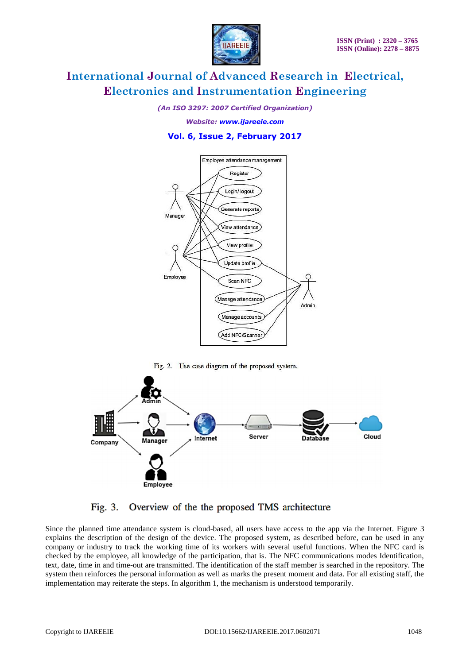

*(An ISO 3297: 2007 Certified Organization)*

*Website: [www.ijareeie.com](http://www.ijareeie.com/)*

### **Vol. 6, Issue 2, February 2017**



Fig. 2. Use case diagram of the proposed system.



#### Fig. 3. Overview of the the proposed TMS architecture

Since the planned time attendance system is cloud-based, all users have access to the app via the Internet. Figure 3 explains the description of the design of the device. The proposed system, as described before, can be used in any company or industry to track the working time of its workers with several useful functions. When the NFC card is checked by the employee, all knowledge of the participation, that is. The NFC communications modes Identification, text, date, time in and time-out are transmitted. The identification of the staff member is searched in the repository. The system then reinforces the personal information as well as marks the present moment and data. For all existing staff, the implementation may reiterate the steps. In algorithm 1, the mechanism is understood temporarily.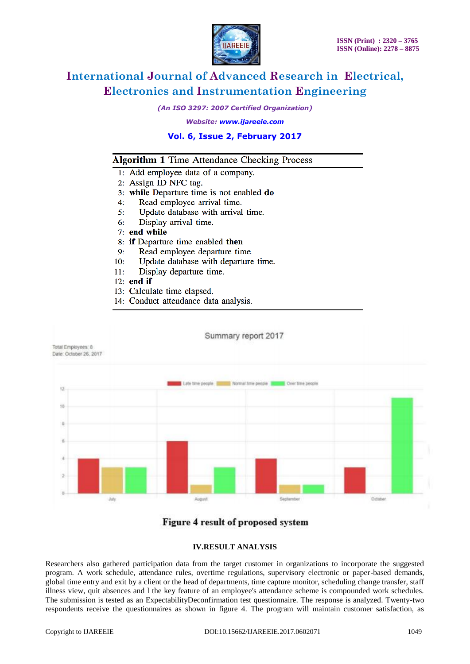

*(An ISO 3297: 2007 Certified Organization)*

*Website: [www.ijareeie.com](http://www.ijareeie.com/)*

#### **Vol. 6, Issue 2, February 2017**

### **Algorithm 1 Time Attendance Checking Process**

- 1: Add employee data of a company.
- 2: Assign ID NFC tag.
- 3: while Departure time is not enabled do
- Read employee arrival time.  $4:$
- $5:$ Update database with arrival time.
- Display arrival time. 6:
- $7:$  end while
- 8: if Departure time enabled then
- $9:$ Read employee departure time.
- $10:$ Update database with departure time.
- $11:$ Display departure time.
- $12:$  end if
- 13: Calculate time elapsed.
- 14: Conduct attendance data analysis.



### Figure 4 result of proposed system

#### **IV.RESULT ANALYSIS**

Researchers also gathered participation data from the target customer in organizations to incorporate the suggested program. A work schedule, attendance rules, overtime regulations, supervisory electronic or paper-based demands, global time entry and exit by a client or the head of departments, time capture monitor, scheduling change transfer, staff illness view, quit absences and l the key feature of an employee's attendance scheme is compounded work schedules. The submission is tested as an ExpectabilityDeconfirmation test questionnaire. The response is analyzed. Twenty-two respondents receive the questionnaires as shown in figure 4. The program will maintain customer satisfaction, as